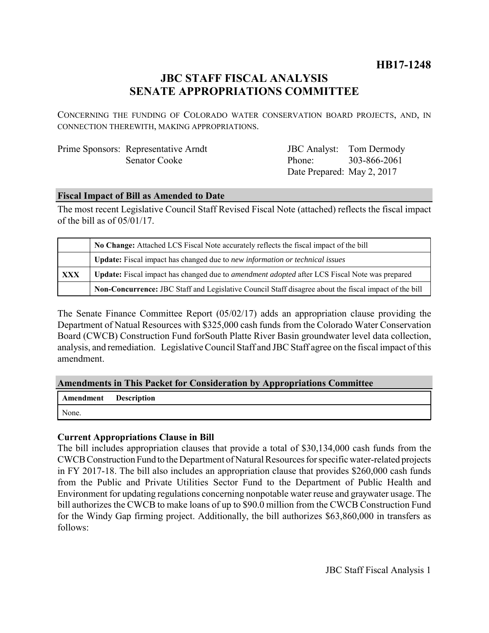# **JBC STAFF FISCAL ANALYSIS SENATE APPROPRIATIONS COMMITTEE**

CONCERNING THE FUNDING OF COLORADO WATER CONSERVATION BOARD PROJECTS, AND, IN CONNECTION THEREWITH, MAKING APPROPRIATIONS.

| Prime Sponsors: Representative Arndt |
|--------------------------------------|
| <b>Senator Cooke</b>                 |

JBC Analyst: Tom Dermody Phone: Date Prepared: May 2, 2017 303-866-2061

#### **Fiscal Impact of Bill as Amended to Date**

The most recent Legislative Council Staff Revised Fiscal Note (attached) reflects the fiscal impact of the bill as of 05/01/17.

|     | No Change: Attached LCS Fiscal Note accurately reflects the fiscal impact of the bill                 |  |
|-----|-------------------------------------------------------------------------------------------------------|--|
|     | Update: Fiscal impact has changed due to new information or technical issues                          |  |
| XXX | Update: Fiscal impact has changed due to <i>amendment adopted</i> after LCS Fiscal Note was prepared  |  |
|     | Non-Concurrence: JBC Staff and Legislative Council Staff disagree about the fiscal impact of the bill |  |

The Senate Finance Committee Report (05/02/17) adds an appropriation clause providing the Department of Natual Resources with \$325,000 cash funds from the Colorado Water Conservation Board (CWCB) Construction Fund forSouth Platte River Basin groundwater level data collection, analysis, and remediation. Legislative Council Staff and JBC Staff agree on the fiscal impact of this amendment.

#### **Amendments in This Packet for Consideration by Appropriations Committee**

| <b>Amendment</b> Description |  |
|------------------------------|--|
| None.                        |  |

## **Current Appropriations Clause in Bill**

The bill includes appropriation clauses that provide a total of \$30,134,000 cash funds from the CWCB Construction Fund to the Department of Natural Resources for specific water-related projects in FY 2017-18. The bill also includes an appropriation clause that provides \$260,000 cash funds from the Public and Private Utilities Sector Fund to the Department of Public Health and Environment for updating regulations concerning nonpotable water reuse and graywater usage. The bill authorizes the CWCB to make loans of up to \$90.0 million from the CWCB Construction Fund for the Windy Gap firming project. Additionally, the bill authorizes \$63,860,000 in transfers as follows: